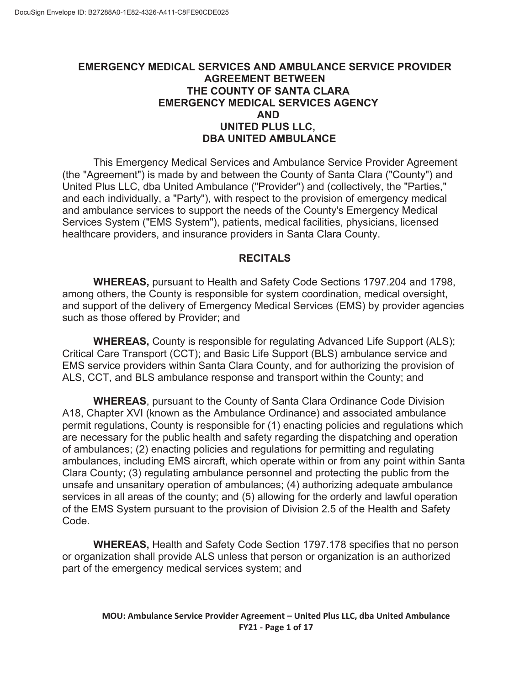## **EMERGENCY MEDICAL SERVICES AND AMBULANCE SERVICE PROVIDER AGREEMENT BETWEEN THE COUNTY OF SANTA CLARA EMERGENCY MEDICAL SERVICES AGENCY AND UNITED PLUS LLC, DBA UNITED AMBULANCE**

This Emergency Medical Services and Ambulance Service Provider Agreement (the "Agreement") is made by and between the County of Santa Clara ("County") and United Plus LLC, dba United Ambulance ("Provider") and (collectively, the "Parties," and each individually, a "Party"), with respect to the provision of emergency medical and ambulance services to support the needs of the County's Emergency Medical Services System ("EMS System"), patients, medical facilities, physicians, licensed healthcare providers, and insurance providers in Santa Clara County.

## **RECITALS**

**WHEREAS,** pursuant to Health and Safety Code Sections 1797.204 and 1798, among others, the County is responsible for system coordination, medical oversight, and support of the delivery of Emergency Medical Services (EMS) by provider agencies such as those offered by Provider; and

**WHEREAS,** County is responsible for regulating Advanced Life Support (ALS); Critical Care Transport (CCT); and Basic Life Support (BLS) ambulance service and EMS service providers within Santa Clara County, and for authorizing the provision of ALS, CCT, and BLS ambulance response and transport within the County; and

**WHEREAS**, pursuant to the County of Santa Clara Ordinance Code Division A18, Chapter XVI (known as the Ambulance Ordinance) and associated ambulance permit regulations, County is responsible for (1) enacting policies and regulations which are necessary for the public health and safety regarding the dispatching and operation of ambulances; (2) enacting policies and regulations for permitting and regulating ambulances, including EMS aircraft, which operate within or from any point within Santa Clara County; (3) regulating ambulance personnel and protecting the public from the unsafe and unsanitary operation of ambulances; (4) authorizing adequate ambulance services in all areas of the county; and (5) allowing for the orderly and lawful operation of the EMS System pursuant to the provision of Division 2.5 of the Health and Safety Code.

**WHEREAS,** Health and Safety Code Section 1797.178 specifies that no person or organization shall provide ALS unless that person or organization is an authorized part of the emergency medical services system; and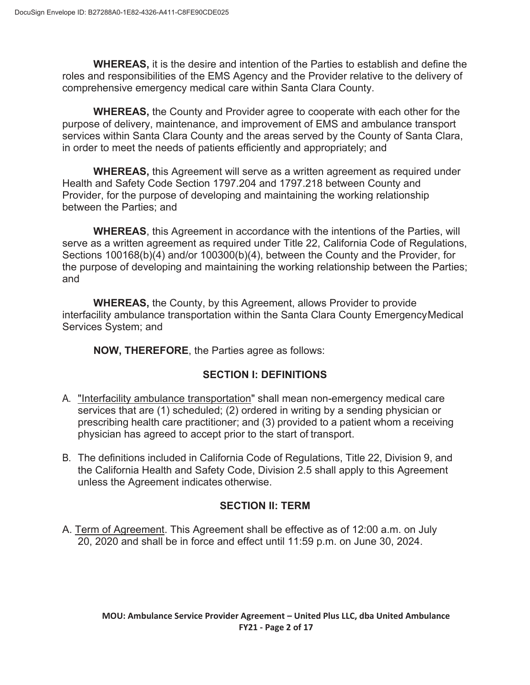**WHEREAS,** it is the desire and intention of the Parties to establish and define the roles and responsibilities of the EMS Agency and the Provider relative to the delivery of comprehensive emergency medical care within Santa Clara County.

**WHEREAS,** the County and Provider agree to cooperate with each other for the purpose of delivery, maintenance, and improvement of EMS and ambulance transport services within Santa Clara County and the areas served by the County of Santa Clara, in order to meet the needs of patients efficiently and appropriately; and

**WHEREAS,** this Agreement will serve as a written agreement as required under Health and Safety Code Section 1797.204 and 1797.218 between County and Provider, for the purpose of developing and maintaining the working relationship between the Parties; and

**WHEREAS**, this Agreement in accordance with the intentions of the Parties, will serve as a written agreement as required under Title 22, California Code of Regulations, Sections 100168(b)(4) and/or 100300(b)(4), between the County and the Provider, for the purpose of developing and maintaining the working relationship between the Parties; and

**WHEREAS,** the County, by this Agreement, allows Provider to provide interfacility ambulance transportation within the Santa Clara County Emergency Medical Services System; and

**NOW, THEREFORE**, the Parties agree as follows:

# **SECTION I: DEFINITIONS**

- A. "Interfacility ambulance transportation" shall mean non-emergency medical care services that are (1) scheduled; (2) ordered in writing by a sending physician or prescribing health care practitioner; and (3) provided to a patient whom a receiving physician has agreed to accept prior to the start of transport.
- B. The definitions included in California Code of Regulations, Title 22, Division 9, and the California Health and Safety Code, Division 2.5 shall apply to this Agreement unless the Agreement indicates otherwise.

# **SECTION II: TERM**

A. Term of Agreement. This Agreement shall be effective as of 12:00 a.m. on July 20, 2020 and shall be in force and effect until 11:59 p.m. on June 30, 2024.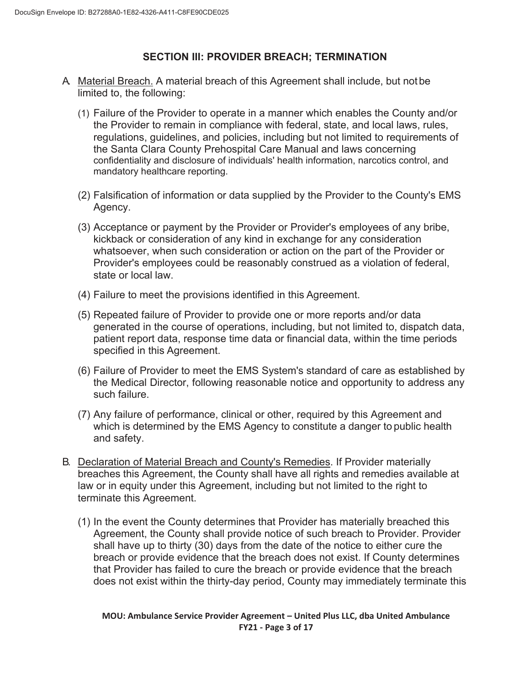## **SECTION III: PROVIDER BREACH; TERMINATION**

- A. Material Breach. A material breach of this Agreement shall include, but not be limited to, the following:
	- (1) Failure of the Provider to operate in a manner which enables the County and/or the Provider to remain in compliance with federal, state, and local laws, rules, regulations, guidelines, and policies, including but not limited to requirements of the Santa Clara County Prehospital Care Manual and laws concerning confidentiality and disclosure of individuals' health information, narcotics control, and mandatory healthcare reporting.
	- (2) Falsification of information or data supplied by the Provider to the County's EMS Agency.
	- (3) Acceptance or payment by the Provider or Provider's employees of any bribe, kickback or consideration of any kind in exchange for any consideration whatsoever, when such consideration or action on the part of the Provider or Provider's employees could be reasonably construed as a violation of federal, state or local law.
	- (4) Failure to meet the provisions identified in this Agreement.
	- (5) Repeated failure of Provider to provide one or more reports and/or data generated in the course of operations, including, but not limited to, dispatch data, patient report data, response time data or financial data, within the time periods specified in this Agreement.
	- (6) Failure of Provider to meet the EMS System's standard of care as established by the Medical Director, following reasonable notice and opportunity to address any such failure.
	- (7) Any failure of performance, clinical or other, required by this Agreement and which is determined by the EMS Agency to constitute a danger to public health and safety.
- B. Declaration of Material Breach and County's Remedies. If Provider materially breaches this Agreement, the County shall have all rights and remedies available at law or in equity under this Agreement, including but not limited to the right to terminate this Agreement.
	- (1) In the event the County determines that Provider has materially breached this Agreement, the County shall provide notice of such breach to Provider. Provider shall have up to thirty (30) days from the date of the notice to either cure the breach or provide evidence that the breach does not exist. If County determines that Provider has failed to cure the breach or provide evidence that the breach does not exist within the thirty-day period, County may immediately terminate this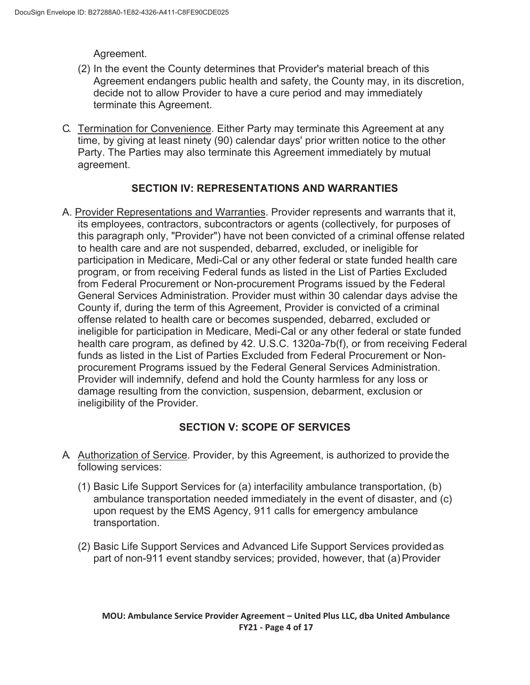Agreement.

- (2) In the event the County determines that Provider's material breach of this Agreement endangers public health and safety, the County may, in its discretion, decide not to allow Provider to have a cure period and may immediately terminate this Agreement.
- C. Termination for Convenience. Either Party may terminate this Agreement at any time, by giving at least ninety (90) calendar days' prior written notice to the other Party. The Parties may also terminate this Agreement immediately by mutual agreement.

# **SECTION IV: REPRESENTATIONS AND WARRANTIES**

A. Provider Representations and Warranties. Provider represents and warrants that it, its employees, contractors, subcontractors or agents (collectively, for purposes of this paragraph only, "Provider") have not been convicted of a criminal offense related to health care and are not suspended, debarred, excluded, or ineligible for participation in Medicare, Medi-Cal or any other federal or state funded health care program, or from receiving Federal funds as listed in the List of Parties Excluded from Federal Procurement or Non-procurement Programs issued by the Federal General Services Administration. Provider must within 30 calendar days advise the County if, during the term of this Agreement, Provider is convicted of a criminal offense related to health care or becomes suspended, debarred, excluded or ineligible for participation in Medicare, Medi-Cal or any other federal or state funded health care program, as defined by 42. U.S.C. 1320a-7b(f), or from receiving Federal funds as listed in the List of Parties Excluded from Federal Procurement or Nonprocurement Programs issued by the Federal General Services Administration. Provider will indemnify, defend and hold the County harmless for any loss or damage resulting from the conviction, suspension, debarment, exclusion or ineligibility of the Provider.

# **SECTION V: SCOPE OF SERVICES**

- A. Authorization of Service. Provider, by this Agreement, is authorized to provide the following services:
	- (1) Basic Life Support Services for (a) interfacility ambulance transportation, (b) ambulance transportation needed immediately in the event of disaster, and (c) upon request by the EMS Agency, 911 calls for emergency ambulance transportation.
	- (2) Basic Life Support Services and Advanced Life Support Services provided as part of non-911 event standby services; provided, however, that (a) Provider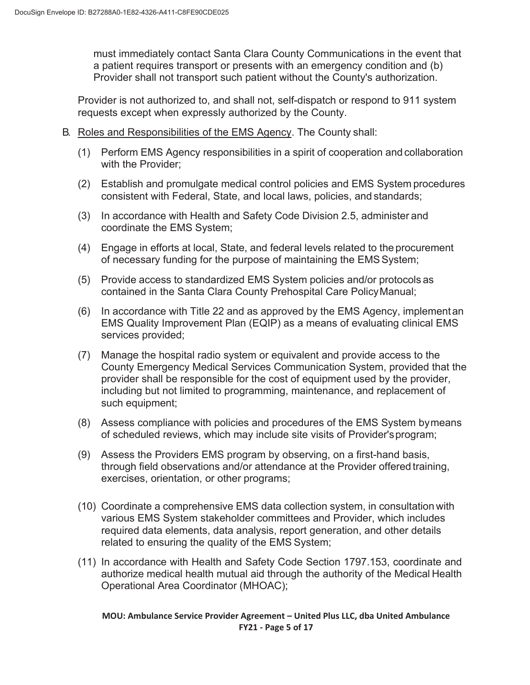must immediately contact Santa Clara County Communications in the event that a patient requires transport or presents with an emergency condition and (b) Provider shall not transport such patient without the County's authorization.

Provider is not authorized to, and shall not, self-dispatch or respond to 911 system requests except when expressly authorized by the County.

- B. Roles and Responsibilities of the EMS Agency. The County shall:
	- (1) Perform EMS Agency responsibilities in a spirit of cooperation and collaboration with the Provider;
	- (2) Establish and promulgate medical control policies and EMS System procedures consistent with Federal, State, and local laws, policies, and standards;
	- (3) In accordance with Health and Safety Code Division 2.5, administer and coordinate the EMS System;
	- (4) Engage in efforts at local, State, and federal levels related to the procurement of necessary funding for the purpose of maintaining the EMS System;
	- (5) Provide access to standardized EMS System policies and/or protocols as contained in the Santa Clara County Prehospital Care Policy Manual;
	- (6) In accordance with Title 22 and as approved by the EMS Agency, implement an EMS Quality Improvement Plan (EQIP) as a means of evaluating clinical EMS services provided;
	- (7) Manage the hospital radio system or equivalent and provide access to the County Emergency Medical Services Communication System, provided that the provider shall be responsible for the cost of equipment used by the provider, including but not limited to programming, maintenance, and replacement of such equipment;
	- (8) Assess compliance with policies and procedures of the EMS System by means of scheduled reviews, which may include site visits of Provider's program;
	- (9) Assess the Providers EMS program by observing, on a first-hand basis, through field observations and/or attendance at the Provider offered training, exercises, orientation, or other programs;
	- (10) Coordinate a comprehensive EMS data collection system, in consultation with various EMS System stakeholder committees and Provider, which includes required data elements, data analysis, report generation, and other details related to ensuring the quality of the EMS System;
	- (11) In accordance with Health and Safety Code Section 1797.153, coordinate and authorize medical health mutual aid through the authority of the Medical Health Operational Area Coordinator (MHOAC);

**MOU: Ambulance Service Provider Agreement – United Plus LLC, dba United Ambulance FY21 - Page 5 of 17**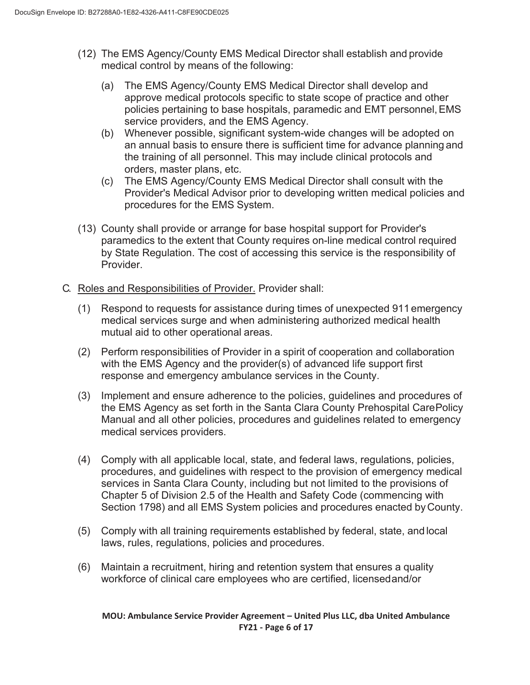- (12) The EMS Agency/County EMS Medical Director shall establish and provide medical control by means of the following:
	- (a) The EMS Agency/County EMS Medical Director shall develop and approve medical protocols specific to state scope of practice and other policies pertaining to base hospitals, paramedic and EMT personnel, EMS service providers, and the EMS Agency.
	- (b) Whenever possible, significant system-wide changes will be adopted on an annual basis to ensure there is sufficient time for advance planning and the training of all personnel. This may include clinical protocols and orders, master plans, etc.
	- (c) The EMS Agency/County EMS Medical Director shall consult with the Provider's Medical Advisor prior to developing written medical policies and procedures for the EMS System.
- (13) County shall provide or arrange for base hospital support for Provider's paramedics to the extent that County requires on-line medical control required by State Regulation. The cost of accessing this service is the responsibility of Provider.
- C. Roles and Responsibilities of Provider. Provider shall:
	- (1) Respond to requests for assistance during times of unexpected 911 emergency medical services surge and when administering authorized medical health mutual aid to other operational areas.
	- (2) Perform responsibilities of Provider in a spirit of cooperation and collaboration with the EMS Agency and the provider(s) of advanced life support first response and emergency ambulance services in the County.
	- (3) Implement and ensure adherence to the policies, guidelines and procedures of the EMS Agency as set forth in the Santa Clara County Prehospital Care Policy Manual and all other policies, procedures and guidelines related to emergency medical services providers.
	- (4) Comply with all applicable local, state, and federal laws, regulations, policies, procedures, and guidelines with respect to the provision of emergency medical services in Santa Clara County, including but not limited to the provisions of Chapter 5 of Division 2.5 of the Health and Safety Code (commencing with Section 1798) and all EMS System policies and procedures enacted by County.
	- (5) Comply with all training requirements established by federal, state, and local laws, rules, regulations, policies and procedures.
	- (6) Maintain a recruitment, hiring and retention system that ensures a quality workforce of clinical care employees who are certified, licensed and/or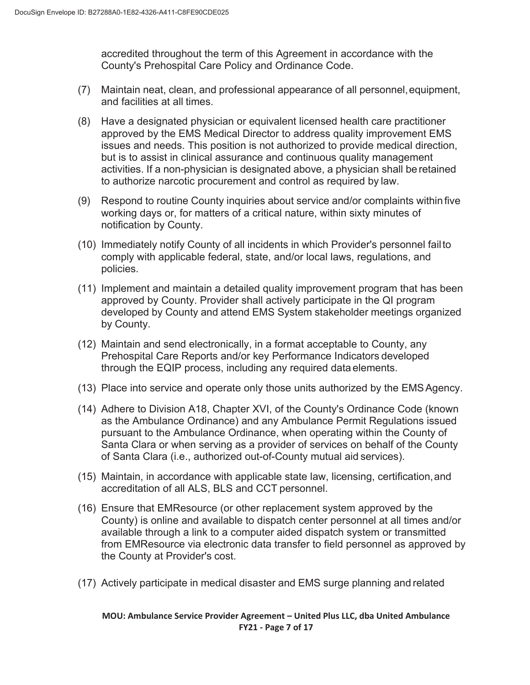accredited throughout the term of this Agreement in accordance with the County's Prehospital Care Policy and Ordinance Code.

- (7) Maintain neat, clean, and professional appearance of all personnel, equipment, and facilities at all times.
- (8) Have a designated physician or equivalent licensed health care practitioner approved by the EMS Medical Director to address quality improvement EMS issues and needs. This position is not authorized to provide medical direction, but is to assist in clinical assurance and continuous quality management activities. If a non-physician is designated above, a physician shall be retained to authorize narcotic procurement and control as required by law.
- (9) Respond to routine County inquiries about service and/or complaints within five working days or, for matters of a critical nature, within sixty minutes of notification by County.
- (10) Immediately notify County of all incidents in which Provider's personnel fail to comply with applicable federal, state, and/or local laws, regulations, and policies.
- (11) Implement and maintain a detailed quality improvement program that has been approved by County. Provider shall actively participate in the QI program developed by County and attend EMS System stakeholder meetings organized by County.
- (12) Maintain and send electronically, in a format acceptable to County, any Prehospital Care Reports and/or key Performance Indicators developed through the EQIP process, including any required data elements.
- (13) Place into service and operate only those units authorized by the EMS Agency.
- (14) Adhere to Division A18, Chapter XVI, of the County's Ordinance Code (known as the Ambulance Ordinance) and any Ambulance Permit Regulations issued pursuant to the Ambulance Ordinance, when operating within the County of Santa Clara or when serving as a provider of services on behalf of the County of Santa Clara (i.e., authorized out-of-County mutual aid services).
- (15) Maintain, in accordance with applicable state law, licensing, certification, and accreditation of all ALS, BLS and CCT personnel.
- (16) Ensure that EMResource (or other replacement system approved by the County) is online and available to dispatch center personnel at all times and/or available through a link to a computer aided dispatch system or transmitted from EMResource via electronic data transfer to field personnel as approved by the County at Provider's cost.
- (17) Actively participate in medical disaster and EMS surge planning and related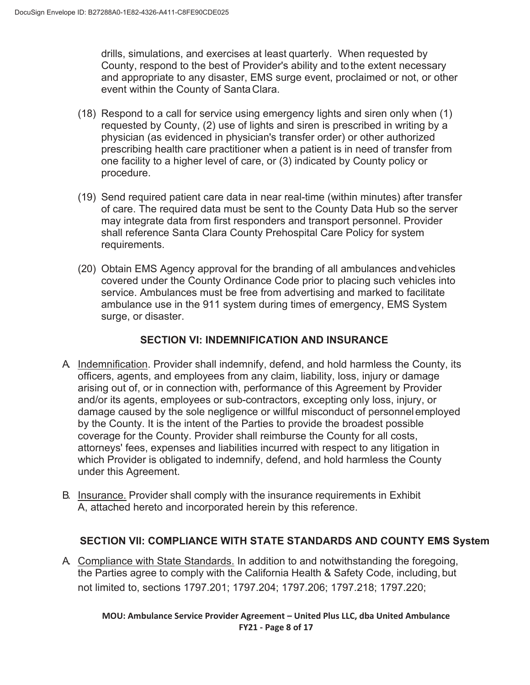drills, simulations, and exercises at least quarterly. When requested by County, respond to the best of Provider's ability and to the extent necessary and appropriate to any disaster, EMS surge event, proclaimed or not, or other event within the County of Santa Clara.

- (18) Respond to a call for service using emergency lights and siren only when (1) requested by County, (2) use of lights and siren is prescribed in writing by a physician (as evidenced in physician's transfer order) or other authorized prescribing health care practitioner when a patient is in need of transfer from one facility to a higher level of care, or (3) indicated by County policy or procedure.
- (19) Send required patient care data in near real-time (within minutes) after transfer of care. The required data must be sent to the County Data Hub so the server may integrate data from first responders and transport personnel. Provider shall reference Santa Clara County Prehospital Care Policy for system requirements.
- (20) Obtain EMS Agency approval for the branding of all ambulances and vehicles covered under the County Ordinance Code prior to placing such vehicles into service. Ambulances must be free from advertising and marked to facilitate ambulance use in the 911 system during times of emergency, EMS System surge, or disaster.

## **SECTION VI: INDEMNIFICATION AND INSURANCE**

- A. Indemnification. Provider shall indemnify, defend, and hold harmless the County, its officers, agents, and employees from any claim, liability, loss, injury or damage arising out of, or in connection with, performance of this Agreement by Provider and/or its agents, employees or sub-contractors, excepting only loss, injury, or damage caused by the sole negligence or willful misconduct of personnel employed by the County. It is the intent of the Parties to provide the broadest possible coverage for the County. Provider shall reimburse the County for all costs, attorneys' fees, expenses and liabilities incurred with respect to any litigation in which Provider is obligated to indemnify, defend, and hold harmless the County under this Agreement.
- B. Insurance. Provider shall comply with the insurance requirements in Exhibit A, attached hereto and incorporated herein by this reference.

# **SECTION VII: COMPLIANCE WITH STATE STANDARDS AND COUNTY EMS System**

A. Compliance with State Standards. In addition to and notwithstanding the foregoing, the Parties agree to comply with the California Health & Safety Code, including, but not limited to, sections 1797.201; 1797.204; 1797.206; 1797.218; 1797.220;

**MOU: Ambulance Service Provider Agreement – United Plus LLC, dba United Ambulance FY21 - Page 8 of 17**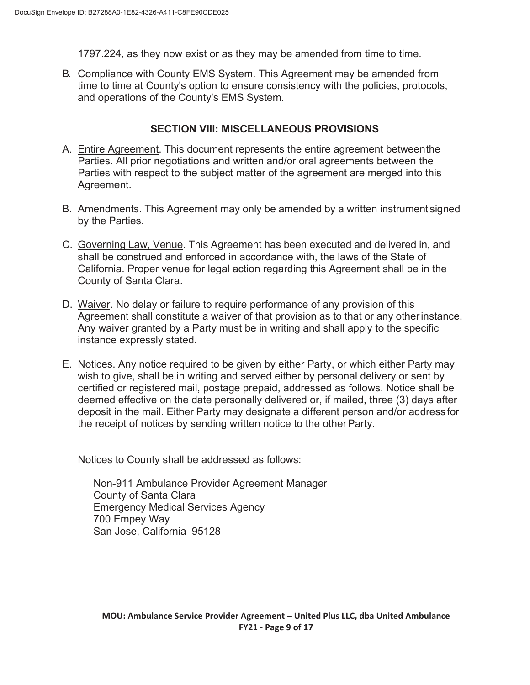1797.224, as they now exist or as they may be amended from time to time.

B. Compliance with County EMS System. This Agreement may be amended from time to time at County's option to ensure consistency with the policies, protocols, and operations of the County's EMS System.

### **SECTION VIII: MISCELLANEOUS PROVISIONS**

- A. Entire Agreement. This document represents the entire agreement between the Parties. All prior negotiations and written and/or oral agreements between the Parties with respect to the subject matter of the agreement are merged into this Agreement.
- B. Amendments. This Agreement may only be amended by a written instrument signed by the Parties.
- C. Governing Law, Venue. This Agreement has been executed and delivered in, and shall be construed and enforced in accordance with, the laws of the State of California. Proper venue for legal action regarding this Agreement shall be in the County of Santa Clara.
- D. Waiver. No delay or failure to require performance of any provision of this Agreement shall constitute a waiver of that provision as to that or any other instance. Any waiver granted by a Party must be in writing and shall apply to the specific instance expressly stated.
- E. Notices. Any notice required to be given by either Party, or which either Party may wish to give, shall be in writing and served either by personal delivery or sent by certified or registered mail, postage prepaid, addressed as follows. Notice shall be deemed effective on the date personally delivered or, if mailed, three (3) days after deposit in the mail. Either Party may designate a different person and/or address for the receipt of notices by sending written notice to the other Party.

Notices to County shall be addressed as follows:

Non-911 Ambulance Provider Agreement Manager County of Santa Clara Emergency Medical Services Agency 700 Empey Way San Jose, California 95128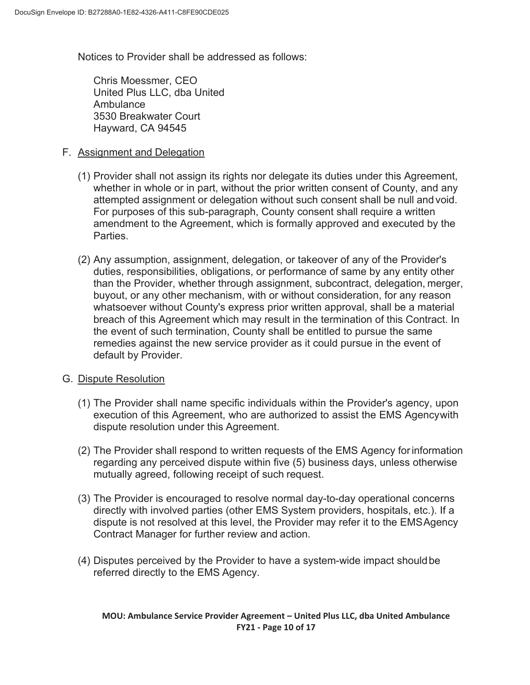Notices to Provider shall be addressed as follows:

Chris Moessmer, CEO United Plus LLC, dba United Ambulance 3530 Breakwater Court Hayward, CA 94545

### F. Assignment and Delegation

- (1) Provider shall not assign its rights nor delegate its duties under this Agreement, whether in whole or in part, without the prior written consent of County, and any attempted assignment or delegation without such consent shall be null and void. For purposes of this sub-paragraph, County consent shall require a written amendment to the Agreement, which is formally approved and executed by the Parties.
- (2) Any assumption, assignment, delegation, or takeover of any of the Provider's duties, responsibilities, obligations, or performance of same by any entity other than the Provider, whether through assignment, subcontract, delegation, merger, buyout, or any other mechanism, with or without consideration, for any reason whatsoever without County's express prior written approval, shall be a material breach of this Agreement which may result in the termination of this Contract. In the event of such termination, County shall be entitled to pursue the same remedies against the new service provider as it could pursue in the event of default by Provider.

### G. Dispute Resolution

- (1) The Provider shall name specific individuals within the Provider's agency, upon execution of this Agreement, who are authorized to assist the EMS Agency with dispute resolution under this Agreement.
- (2) The Provider shall respond to written requests of the EMS Agency for information regarding any perceived dispute within five (5) business days, unless otherwise mutually agreed, following receipt of such request.
- (3) The Provider is encouraged to resolve normal day-to-day operational concerns directly with involved parties (other EMS System providers, hospitals, etc.). If a dispute is not resolved at this level, the Provider may refer it to the EMS Agency Contract Manager for further review and action.
- (4) Disputes perceived by the Provider to have a system-wide impact should be referred directly to the EMS Agency.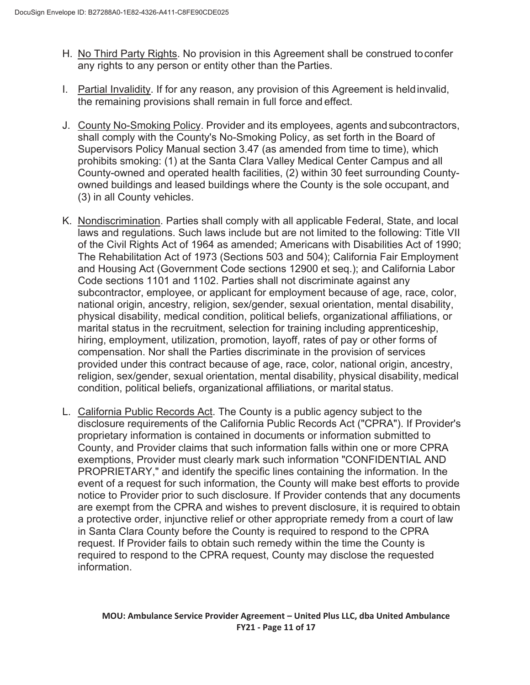- H. No Third Party Rights. No provision in this Agreement shall be construed to confer any rights to any person or entity other than the Parties.
- I. Partial Invalidity. If for any reason, any provision of this Agreement is held invalid, the remaining provisions shall remain in full force and effect.
- J. County No-Smoking Policy. Provider and its employees, agents and subcontractors, shall comply with the County's No-Smoking Policy, as set forth in the Board of Supervisors Policy Manual section 3.47 (as amended from time to time), which prohibits smoking: (1) at the Santa Clara Valley Medical Center Campus and all County-owned and operated health facilities, (2) within 30 feet surrounding Countyowned buildings and leased buildings where the County is the sole occupant, and (3) in all County vehicles.
- K. Nondiscrimination. Parties shall comply with all applicable Federal, State, and local laws and regulations. Such laws include but are not limited to the following: Title VII of the Civil Rights Act of 1964 as amended; Americans with Disabilities Act of 1990; The Rehabilitation Act of 1973 (Sections 503 and 504); California Fair Employment and Housing Act (Government Code sections 12900 et seq.); and California Labor Code sections 1101 and 1102. Parties shall not discriminate against any subcontractor, employee, or applicant for employment because of age, race, color, national origin, ancestry, religion, sex/gender, sexual orientation, mental disability, physical disability, medical condition, political beliefs, organizational affiliations, or marital status in the recruitment, selection for training including apprenticeship, hiring, employment, utilization, promotion, layoff, rates of pay or other forms of compensation. Nor shall the Parties discriminate in the provision of services provided under this contract because of age, race, color, national origin, ancestry, religion, sex/gender, sexual orientation, mental disability, physical disability, medical condition, political beliefs, organizational affiliations, or marital status.
- L. California Public Records Act. The County is a public agency subject to the disclosure requirements of the California Public Records Act ("CPRA"). If Provider's proprietary information is contained in documents or information submitted to County, and Provider claims that such information falls within one or more CPRA exemptions, Provider must clearly mark such information "CONFIDENTIAL AND PROPRIETARY," and identify the specific lines containing the information. In the event of a request for such information, the County will make best efforts to provide notice to Provider prior to such disclosure. If Provider contends that any documents are exempt from the CPRA and wishes to prevent disclosure, it is required to obtain a protective order, injunctive relief or other appropriate remedy from a court of law in Santa Clara County before the County is required to respond to the CPRA request. If Provider fails to obtain such remedy within the time the County is required to respond to the CPRA request, County may disclose the requested information.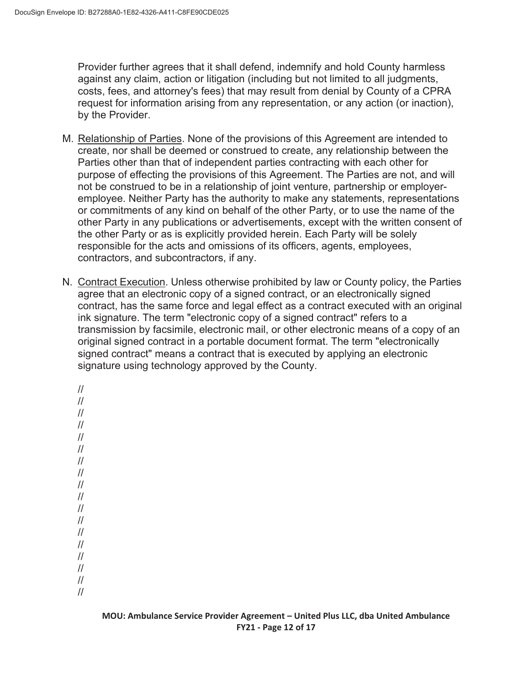Provider further agrees that it shall defend, indemnify and hold County harmless against any claim, action or litigation (including but not limited to all judgments, costs, fees, and attorney's fees) that may result from denial by County of a CPRA request for information arising from any representation, or any action (or inaction), by the Provider.

- M. Relationship of Parties. None of the provisions of this Agreement are intended to create, nor shall be deemed or construed to create, any relationship between the Parties other than that of independent parties contracting with each other for purpose of effecting the provisions of this Agreement. The Parties are not, and will not be construed to be in a relationship of joint venture, partnership or employeremployee. Neither Party has the authority to make any statements, representations or commitments of any kind on behalf of the other Party, or to use the name of the other Party in any publications or advertisements, except with the written consent of the other Party or as is explicitly provided herein. Each Party will be solely responsible for the acts and omissions of its officers, agents, employees, contractors, and subcontractors, if any.
- N. Contract Execution. Unless otherwise prohibited by law or County policy, the Parties agree that an electronic copy of a signed contract, or an electronically signed contract, has the same force and legal effect as a contract executed with an original ink signature. The term "electronic copy of a signed contract" refers to a transmission by facsimile, electronic mail, or other electronic means of a copy of an original signed contract in a portable document format. The term "electronically signed contract" means a contract that is executed by applying an electronic signature using technology approved by the County.

```
// 
// 
// 
// 
// 
// 
// 
// 
// 
// 
// 
// 
// 
// 
// 
// 
// 
//
```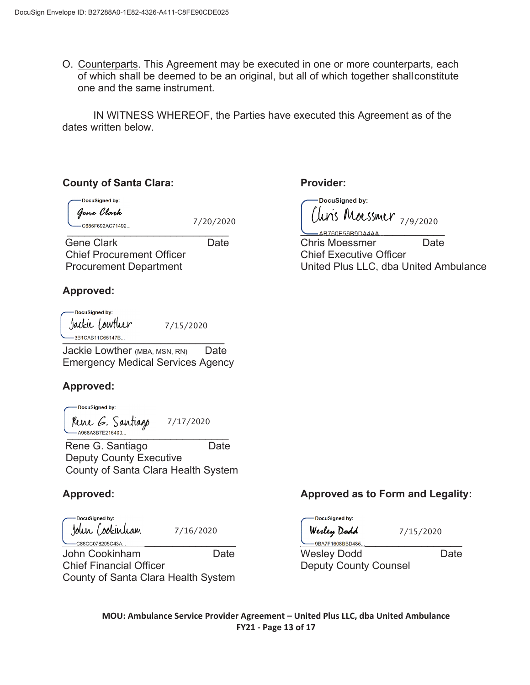O. Counterparts. This Agreement may be executed in one or more counterparts, each of which shall be deemed to be an original, but all of which together shall constitute one and the same instrument.

IN WITNESS WHEREOF, the Parties have executed this Agreement as of the dates written below.

## **County of Santa Clara:**

DocuSigned by:

ſ

Gene Clark

7/20/2020

Gene Clark **Date**  Chief Procurement Officer Procurement Department

\_\_\_\_\_\_\_\_\_\_\_\_\_\_\_\_\_\_\_\_\_\_\_\_\_\_\_\_

## **Approved:**

DocuSianed by: Jackie Lowtluer 7/15/2020 -3B1CAB11C65147B

Jackie Lowther (MBA, MSN, RN) Date Emergency Medical Services Agency

# **Approved:**

DocuSigned by: Rene G. Santiago 7/17/2020 -A968A3B7E216400...

Rene G. Santiago **Date**  Deputy County Executive County of Santa Clara Health System

# **Approved:**

DocuSigned by: John (ookinham 7/16/2020 - C86CC078205C43A...

John Cookinham Date Chief Financial Officer County of Santa Clara Health System

**Provider:** 

DocuSigned by: 7/9/2020

AB760E56B9DA4AA Chris Moessmer Date Chief Executive Officer United Plus LLC, dba United Ambulance

# **Approved as to Form and Legality:**

DocuSigned by: Werley Dodd 7/15/2020  $-9$ BA7F1608BBD485... Wesley Dodd Date Deputy County Counsel

**MOU: Ambulance Service Provider Agreement – United Plus LLC, dba United Ambulance FY21 - Page 13 of 17**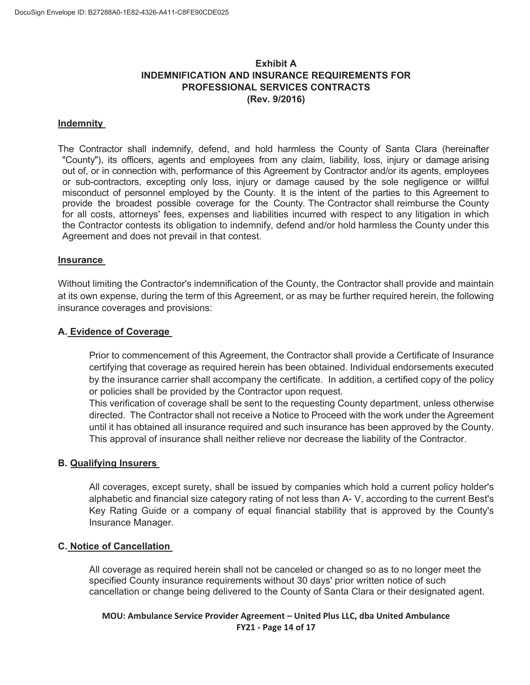## **Exhibit A INDEMNIFICATION AND INSURANCE REQUIREMENTS FOR PROFESSIONAL SERVICES CONTRACTS (Rev. 9/2016)**

#### **Indemnity**

The Contractor shall indemnify, defend, and hold harmless the County of Santa Clara (hereinafter "County"), its officers, agents and employees from any claim, liability, loss, injury or damage arising out of, or in connection with, performance of this Agreement by Contractor and/or its agents, employees or sub-contractors, excepting only loss, injury or damage caused by the sole negligence or willful misconduct of personnel employed by the County. It is the intent of the parties to this Agreement to provide the broadest possible coverage for the County. The Contractor shall reimburse the County for all costs, attorneys' fees, expenses and liabilities incurred with respect to any litigation in which the Contractor contests its obligation to indemnify, defend and/or hold harmless the County under this Agreement and does not prevail in that contest.

#### **Insurance**

Without limiting the Contractor's indemnification of the County, the Contractor shall provide and maintain at its own expense, during the term of this Agreement, or as may be further required herein, the following insurance coverages and provisions:

#### **A. Evidence of Coverage**

Prior to commencement of this Agreement, the Contractor shall provide a Certificate of Insurance certifying that coverage as required herein has been obtained. Individual endorsements executed by the insurance carrier shall accompany the certificate. In addition, a certified copy of the policy or policies shall be provided by the Contractor upon request.

This verification of coverage shall be sent to the requesting County department, unless otherwise directed. The Contractor shall not receive a Notice to Proceed with the work under the Agreement until it has obtained all insurance required and such insurance has been approved by the County. This approval of insurance shall neither relieve nor decrease the liability of the Contractor.

#### **B. Qualifying Insurers**

All coverages, except surety, shall be issued by companies which hold a current policy holder's alphabetic and financial size category rating of not less than A- V, according to the current Best's Key Rating Guide or a company of equal financial stability that is approved by the County's Insurance Manager.

#### **C. Notice of Cancellation**

All coverage as required herein shall not be canceled or changed so as to no longer meet the specified County insurance requirements without 30 days' prior written notice of such cancellation or change being delivered to the County of Santa Clara or their designated agent.

### **MOU: Ambulance Service Provider Agreement – United Plus LLC, dba United Ambulance FY21 - Page 14 of 17**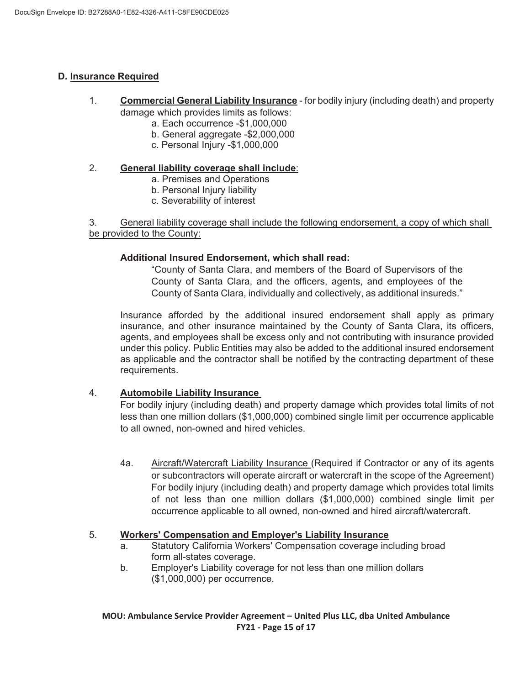### **D. Insurance Required**

- 1. **Commercial General Liability Insurance** for bodily injury (including death) and property damage which provides limits as follows:
	- a. Each occurrence -\$1,000,000
	- b. General aggregate -\$2,000,000
	- c. Personal Injury -\$1,000,000

### 2. **General liability coverage shall include**:

- a. Premises and Operations
- b. Personal Injury liability
- c. Severability of interest

3. General liability coverage shall include the following endorsement, a copy of which shall be provided to the County:

#### **Additional Insured Endorsement, which shall read:**

"County of Santa Clara, and members of the Board of Supervisors of the County of Santa Clara, and the officers, agents, and employees of the County of Santa Clara, individually and collectively, as additional insureds."

Insurance afforded by the additional insured endorsement shall apply as primary insurance, and other insurance maintained by the County of Santa Clara, its officers, agents, and employees shall be excess only and not contributing with insurance provided under this policy. Public Entities may also be added to the additional insured endorsement as applicable and the contractor shall be notified by the contracting department of these requirements.

### 4. **Automobile Liability Insurance**

For bodily injury (including death) and property damage which provides total limits of not less than one million dollars (\$1,000,000) combined single limit per occurrence applicable to all owned, non-owned and hired vehicles.

4a. Aircraft/Watercraft Liability Insurance (Required if Contractor or any of its agents or subcontractors will operate aircraft or watercraft in the scope of the Agreement) For bodily injury (including death) and property damage which provides total limits of not less than one million dollars (\$1,000,000) combined single limit per occurrence applicable to all owned, non-owned and hired aircraft/watercraft.

#### 5. **Workers' Compensation and Employer's Liability Insurance**

- a. Statutory California Workers' Compensation coverage including broad form all-states coverage.
- b. Employer's Liability coverage for not less than one million dollars (\$1,000,000) per occurrence.

**MOU: Ambulance Service Provider Agreement – United Plus LLC, dba United Ambulance FY21 - Page 15 of 17**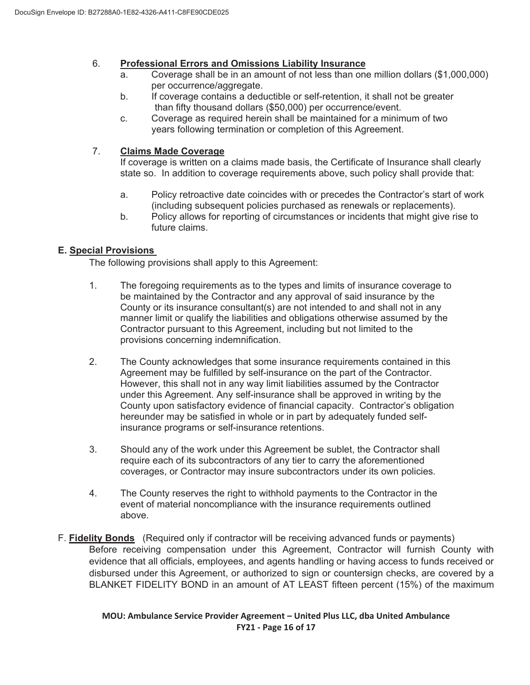## 6. **Professional Errors and Omissions Liability Insurance**

- a. Coverage shall be in an amount of not less than one million dollars (\$1,000,000) per occurrence/aggregate.
- b. If coverage contains a deductible or self-retention, it shall not be greater than fifty thousand dollars (\$50,000) per occurrence/event.
- c. Coverage as required herein shall be maintained for a minimum of two years following termination or completion of this Agreement.

### 7. **Claims Made Coverage**

If coverage is written on a claims made basis, the Certificate of Insurance shall clearly state so. In addition to coverage requirements above, such policy shall provide that:

- a. Policy retroactive date coincides with or precedes the Contractor's start of work (including subsequent policies purchased as renewals or replacements).
- b. Policy allows for reporting of circumstances or incidents that might give rise to future claims.

### **E. Special Provisions**

The following provisions shall apply to this Agreement:

- 1. The foregoing requirements as to the types and limits of insurance coverage to be maintained by the Contractor and any approval of said insurance by the County or its insurance consultant(s) are not intended to and shall not in any manner limit or qualify the liabilities and obligations otherwise assumed by the Contractor pursuant to this Agreement, including but not limited to the provisions concerning indemnification.
- 2. The County acknowledges that some insurance requirements contained in this Agreement may be fulfilled by self-insurance on the part of the Contractor. However, this shall not in any way limit liabilities assumed by the Contractor under this Agreement. Any self-insurance shall be approved in writing by the County upon satisfactory evidence of financial capacity. Contractor's obligation hereunder may be satisfied in whole or in part by adequately funded self insurance programs or self-insurance retentions.
- 3. Should any of the work under this Agreement be sublet, the Contractor shall require each of its subcontractors of any tier to carry the aforementioned coverages, or Contractor may insure subcontractors under its own policies.
- 4. The County reserves the right to withhold payments to the Contractor in the event of material noncompliance with the insurance requirements outlined above.
- F. **Fidelity Bonds** (Required only if contractor will be receiving advanced funds or payments) Before receiving compensation under this Agreement, Contractor will furnish County with evidence that all officials, employees, and agents handling or having access to funds received or disbursed under this Agreement, or authorized to sign or countersign checks, are covered by a BLANKET FIDELITY BOND in an amount of AT LEAST fifteen percent (15%) of the maximum

**MOU: Ambulance Service Provider Agreement – United Plus LLC, dba United Ambulance FY21 - Page 16 of 17**